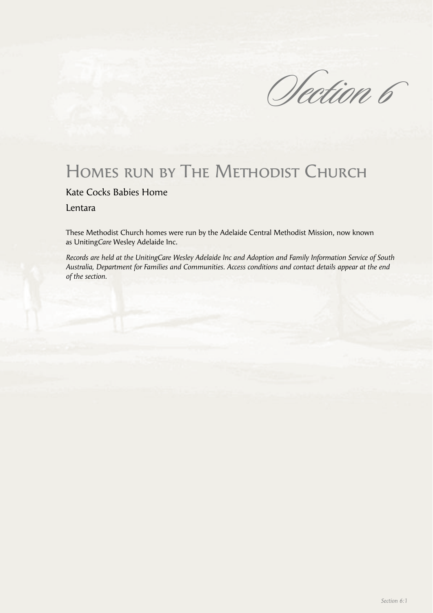Section 6

# HOMES RUN BY THE METHODIST CHURCH

# Kate Cocks Babies Home

Lentara

These Methodist Church homes were run by the Adelaide Central Methodist Mission, now known as Uniting*Care* Wesley Adelaide Inc.

*Records are held at the UnitingCare Wesley Adelaide Inc and Adoption and Family Information Service of South Australia, Department for Families and Communities. Access conditions and contact details appear at the end of the section.*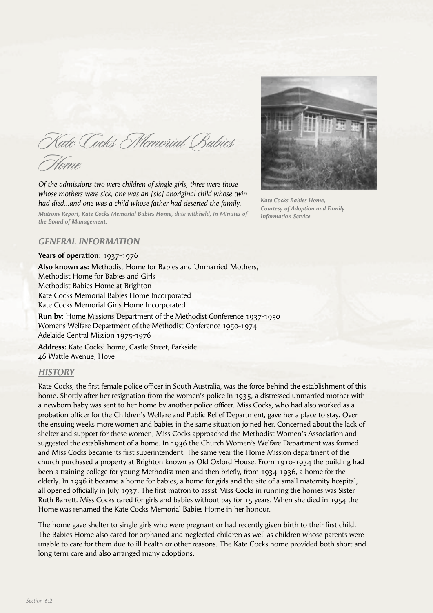Kate Cocks Memorial Babies

Home

*Of the admissions two were children of single girls, three were those whose mothers were sick, one was an [sic] aboriginal child whose twin had died…and one was a child whose father had deserted the family.*

*Matrons Report, Kate Cocks Memorial Babies Home, date withheld, in Minutes of the Board of Management.*



*Kate Cocks Babies Home, Courtesy of Adoption and Family Information Service*

# *GENERAL INFORMATION*

#### **Years of operation:** 1937-1976

**Also known as:** Methodist Home for Babies and Unmarried Mothers, Methodist Home for Babies and Girls Methodist Babies Home at Brighton Kate Cocks Memorial Babies Home Incorporated Kate Cocks Memorial Girls Home Incorporated

**Run by:** Home Missions Department of the Methodist Conference 1937-1950 Womens Welfare Department of the Methodist Conference 1950-1974 Adelaide Central Mission 1975-1976

**Address:** Kate Cocks' home, Castle Street, Parkside 46 Wattle Avenue, Hove

# *HISTORY*

Kate Cocks, the first female police officer in South Australia, was the force behind the establishment of this home. Shortly after her resignation from the women's police in 1935, a distressed unmarried mother with a newborn baby was sent to her home by another police officer. Miss Cocks, who had also worked as a probation officer for the Children's Welfare and Public Relief Department, gave her a place to stay. Over the ensuing weeks more women and babies in the same situation joined her. Concerned about the lack of shelter and support for these women, Miss Cocks approached the Methodist Women's Association and suggested the establishment of a home. In 1936 the Church Women's Welfare Department was formed and Miss Cocks became its first superintendent. The same year the Home Mission department of the church purchased a property at Brighton known as Old Oxford House. From 1910-1934 the building had been a training college for young Methodist men and then briefly, from 1934-1936, a home for the elderly. In 1936 it became a home for babies, a home for girls and the site of a small maternity hospital, all opened officially in July 1937. The first matron to assist Miss Cocks in running the homes was Sister Ruth Barrett. Miss Cocks cared for girls and babies without pay for 15 years. When she died in 1954 the Home was renamed the Kate Cocks Memorial Babies Home in her honour.

The home gave shelter to single girls who were pregnant or had recently given birth to their first child. The Babies Home also cared for orphaned and neglected children as well as children whose parents were unable to care for them due to ill health or other reasons. The Kate Cocks home provided both short and long term care and also arranged many adoptions.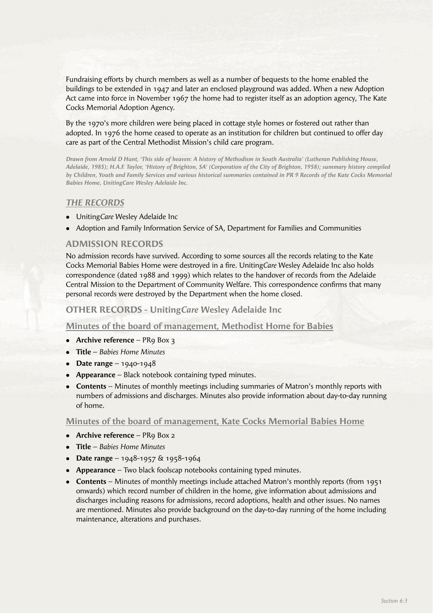Fundraising efforts by church members as well as a number of bequests to the home enabled the buildings to be extended in 1947 and later an enclosed playground was added. When a new Adoption Act came into force in November 1967 the home had to register itself as an adoption agency, The Kate Cocks Memorial Adoption Agency.

By the 1970's more children were being placed in cottage style homes or fostered out rather than adopted. In 1976 the home ceased to operate as an institution for children but continued to offer day care as part of the Central Methodist Mission's child care program.

*Drawn from Arnold D Hunt, 'This side of heaven: A history of Methodism in South Australia' (Lutheran Publishing House, Adelaide, 1985); H.A.F. Taylor, 'History of Brighton, SA' (Corporation of the City of Brighton, 1958); summary history compiled by Children, Youth and Family Services and various historical summaries contained in PR 9 Records of the Kate Cocks Memorial Babies Home, UnitingCare Wesley Adelaide Inc.*

## *THE RECORDS*

- **•** Uniting Care Wesley Adelaide Inc
- Adoption and Family Information Service of SA, Department for Families and Communities

# **ADMISSION RECORDS**

No admission records have survived. According to some sources all the records relating to the Kate Cocks Memorial Babies Home were destroyed in a fire. Uniting Care Wesley Adelaide Inc also holds correspondence (dated 1988 and 1999) which relates to the handover of records from the Adelaide Central Mission to the Department of Community Welfare. This correspondence confirms that many personal records were destroyed by the Department when the home closed.

# **OTHER RECORDS - Uniting***Care* **Wesley Adelaide Inc**

**Minutes of the board of management, Methodist Home for Babies**

- **Archive reference** PR9 Box 3
- **Title** *Babies Home Minutes*
- $\bullet$  **Date range** 1940-1948
- **Appearance** Black notebook containing typed minutes.
- **Contents** Minutes of monthly meetings including summaries of Matron's monthly reports with numbers of admissions and discharges. Minutes also provide information about day-to-day running of home.

#### **Minutes of the board of management, Kate Cocks Memorial Babies Home**

- **Archive reference** PR9 Box 2
- **Title** *Babies Home Minutes*
- **Date range** 1948-1957 & 1958-1964
- **Appearance** Two black foolscap notebooks containing typed minutes.
- **Contents** Minutes of monthly meetings include attached Matron's monthly reports (from 1951) onwards) which record number of children in the home, give information about admissions and discharges including reasons for admissions, record adoptions, health and other issues. No names are mentioned. Minutes also provide background on the day-to-day running of the home including maintenance, alterations and purchases.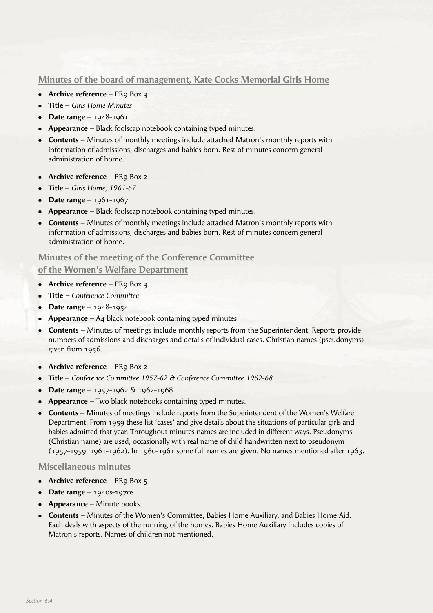# **Minutes of the board of management, Kate Cocks Memorial Girls Home**

- **Archive reference** PR9 Box 3
- <sup>l</sup> **Title** *Girls Home Minutes*
- **Date range** 1948-1961
- **Appearance** Black foolscap notebook containing typed minutes.
- <sup>l</sup> **Contents** Minutes of monthly meetings include attached Matron's monthly reports with information of admissions, discharges and babies born. Rest of minutes concern general administration of home.
- **Archive reference** PR9 Box 2
- <sup>l</sup> **Title** *Girls Home, 1961-67*
- **Date range** 1961-1967
- <sup>l</sup> **Appearance** Black foolscap notebook containing typed minutes.
- **Contents** Minutes of monthly meetings include attached Matron's monthly reports with information of admissions, discharges and babies born. Rest of minutes concern general administration of home.

## **Minutes of the meeting of the Conference Committee**

# **of the Women's Welfare Department**

- **Archive reference** PR9 Box 3
- <sup>l</sup> **Title**  *Conference Committee*
- **Date range**  $1948-1954$
- **Appearance** A4 black notebook containing typed minutes.
- **Contents** Minutes of meetings include monthly reports from the Superintendent. Reports provide numbers of admissions and discharges and details of individual cases. Christian names (pseudonyms) given from 1956.
- **Archive reference** PR9 Box 2
- <sup>l</sup> **Title** *Conference Committee 1957-62 & Conference Committee 1962-68*
- **Date range** 1957-1962 & 1962-1968
- **Appearance** Two black notebooks containing typed minutes.
- **Contents** Minutes of meetings include reports from the Superintendent of the Women's Welfare Department. From 1959 these list 'cases' and give details about the situations of particular girls and babies admitted that year. Throughout minutes names are included in different ways. Pseudonyms (Christian name) are used, occasionally with real name of child handwritten next to pseudonym (1957-1959, 1961-1962). In 1960-1961 some full names are given. No names mentioned after 1963.

# **Miscellaneous minutes**

- **Archive reference** PR9 Box 5
- **•** Date range  $1940s 1970s$
- **Appearance** Minute books.
- **Contents** Minutes of the Women's Committee, Babies Home Auxiliary, and Babies Home Aid. Each deals with aspects of the running of the homes. Babies Home Auxiliary includes copies of Matron's reports. Names of children not mentioned.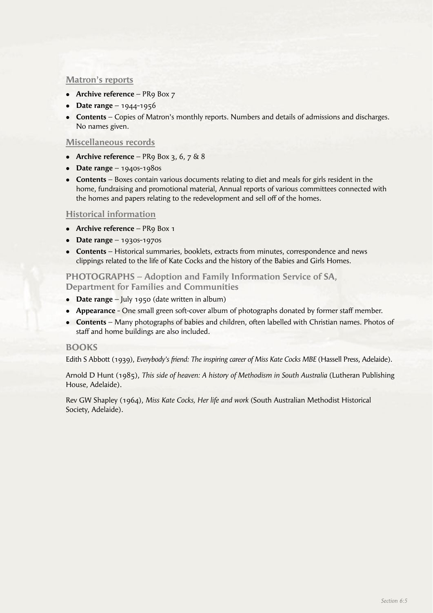## **Matron's reports**

- **Archive reference** PR9 Box 7
- **•** Date range 1944-1956
- **Contents** Copies of Matron's monthly reports. Numbers and details of admissions and discharges. No names given.

#### **Miscellaneous records**

- Archive reference PR9 Box 3,  $6$ ,  $7$   $\&$   $8$
- **•** Date range  $1940s 1980s$
- **Contents** Boxes contain various documents relating to diet and meals for girls resident in the home, fundraising and promotional material, Annual reports of various committees connected with the homes and papers relating to the redevelopment and sell off of the homes.

#### **Historical information**

- **Archive reference** PR9 Box 1
- $\bullet$  **Date range** 1930s-1970s
- **Contents** Historical summaries, booklets, extracts from minutes, correspondence and news clippings related to the life of Kate Cocks and the history of the Babies and Girls Homes.

## **PHOTOGRAPHS – Adoption and Family Information Service of SA, Department for Families and Communities**

- **Date range** July 1950 (date written in album)
- **Appearance** One small green soft-cover album of photographs donated by former staff member.
- **Contents** Many photographs of babies and children, often labelled with Christian names. Photos of staff and home buildings are also included.

#### **BOOKS**

Edith S Abbott (1939), *Everybody's friend: The inspiring career of Miss Kate Cocks MBE* (Hassell Press, Adelaide).

Arnold D Hunt (1985), *This side of heaven: A history of Methodism in South Australia* (Lutheran Publishing House, Adelaide).

Rev GW Shapley (1964), *Miss Kate Cocks, Her life and work* (South Australian Methodist Historical Society, Adelaide).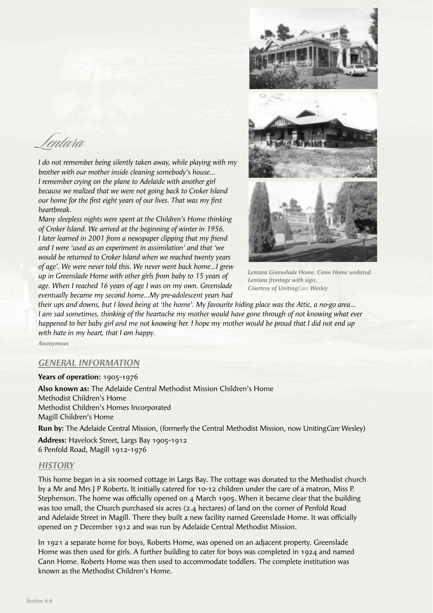Lentara

*I do not remember being silently taken away, while playing with my brother with our mother inside cleaning somebody's house… I remember crying on the plane to Adelaide with another girl because we realized that we were not going back to Croker Island our home for the first eight years of our lives. That was my first heartbreak.*

*Many sleepless nights were spent at the Children's Home thinking of Croker Island. We arrived at the beginning of winter in 1956. I later learned in 2001 from a newspaper clipping that my friend and I were 'used as an experiment in assimilation' and that 'we would be returned to Croker Island when we reached twenty years of age'. We were never told this. We never went back home…I grew up in Greenslade Home with other girls from baby to 15 years of age. When I reached 16 years of age I was on my own. Greenslade eventually became my second home…My pre-adolescent years had* 



*Lentara Greenslade Home, Cann Home undated, Lentara frontage with sign, Courtesy of UnitingCare Wesley*

*their ups and downs, but I loved being at 'the home'. My favourite hiding place was the Attic, a no-go area… I am sad sometimes, thinking of the heartache my mother would have gone through of not knowing what ever happened to her baby girl and me not knowing her. I hope my mother would be proud that I did not end up with hate in my heart, that I am happy.*

*Anonymous*

# *GENERAL INFORMATION*

**Years of operation:** 1905-1976 **Also known as:** The Adelaide Central Methodist Mission Children's Home Methodist Children's Home Methodist Children's Homes Incorporated Magill Children's Home

**Run by:** The Adelaide Central Mission, (formerly the Central Methodist Mission, now Uniting*Care* Wesley)

**Address:** Havelock Street, Largs Bay 1905-1912 6 Penfold Road, Magill 1912-1976

#### *HISTORY*

This home began in a six roomed cottage in Largs Bay. The cottage was donated to the Methodist church by a Mr and Mrs J P Roberts. It initially catered for 10-12 children under the care of a matron, Miss P. Stephenson. The home was officially opened on  $\alpha$  March 1905. When it became clear that the building was too small, the Church purchased six acres (2.4 hectares) of land on the corner of Penfold Road and Adelaide Street in Magill. There they built a new facility named Greenslade Home. It was officially opened on 7 December 1912 and was run by Adelaide Central Methodist Mission.

In 1921 a separate home for boys, Roberts Home, was opened on an adjacent property. Greenslade Home was then used for girls. A further building to cater for boys was completed in 1924 and named Cann Home. Roberts Home was then used to accommodate toddlers. The complete institution was known as the Methodist Children's Home.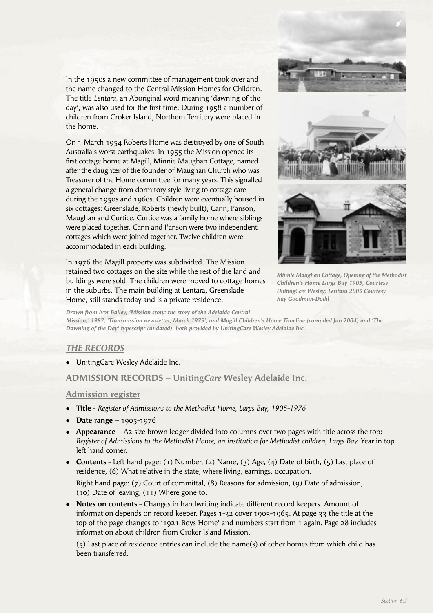In the 1950s a new committee of management took over and the name changed to the Central Mission Homes for Children. The title *Lentara,* an Aboriginal word meaning 'dawning of the day', was also used for the first time. During 1958 a number of children from Croker Island, Northern Territory were placed in the home.

On 1 March 1954 Roberts Home was destroyed by one of South Australia's worst earthquakes. In 1955 the Mission opened its first cottage home at Magill, Minnie Maughan Cottage, named after the daughter of the founder of Maughan Church who was Treasurer of the Home committee for many years. This signalled a general change from dormitory style living to cottage care during the 1950s and 1960s. Children were eventually housed in six cottages: Greenslade, Roberts (newly built), Cann, I'anson, Maughan and Curtice. Curtice was a family home where siblings were placed together. Cann and I'anson were two independent cottages which were joined together. Twelve children were accommodated in each building.

In 1976 the Magill property was subdivided. The Mission retained two cottages on the site while the rest of the land and buildings were sold. The children were moved to cottage homes in the suburbs. The main building at Lentara, Greenslade Home, still stands today and is a private residence.



*Minnie Maughan Cottage, Opening of the Methodist Children's Home Largs Bay 1905, Courtesy UnitingCare Wesley; Lentara 2005 Courtesy Kay Goodman-Dodd* 

*Drawn from Ivor Bailey, 'Mission story: the story of the Adelaide Central* 

*Mission,' 1987; 'Transmission newsletter, March 1975'; and Magill Children's Home Timeline (compiled Jan 2004) and 'The Dawning of the Day' typescript (undated), both provided by UnitingCare Wesley Adelaide Inc.*

# *THE RECORDS*

• UnitingCare Wesley Adelaide Inc.

**ADMISSION RECORDS – Uniting***Care* **Wesley Adelaide Inc.**

# **Admission register**

- <sup>l</sup> **Title** *Register of Admissions to the Methodist Home, Largs Bay, 1905-1976*
- **•** Date range 1905-1976
- **Appearance** A2 size brown ledger divided into columns over two pages with title across the top: *Register of Admissions to the Methodist Home, an institution for Methodist children, Largs Bay.* Year in top left hand corner.
- <sup>l</sup> **Contents** Left hand page: (1) Number, (2) Name, (3) Age, (4) Date of birth, (5) Last place of residence, (6) What relative in the state, where living, earnings, occupation.

 Right hand page: (7) Court of committal, (8) Reasons for admission, (9) Date of admission, (10) Date of leaving, (11) Where gone to.

**• Notes on contents** - Changes in handwriting indicate different record keepers. Amount of information depends on record keeper. Pages 1-32 cover 1905-1965. At page 33 the title at the top of the page changes to '1921 Boys Home' and numbers start from 1 again. Page 28 includes information about children from Croker Island Mission.

 (5) Last place of residence entries can include the name(s) of other homes from which child has been transferred.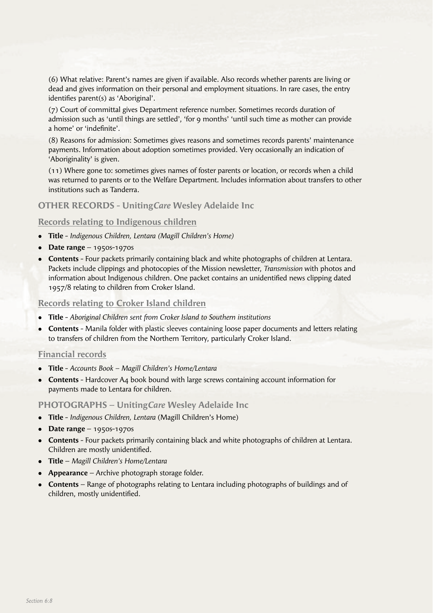(6) What relative: Parent's names are given if available. Also records whether parents are living or dead and gives information on their personal and employment situations. In rare cases, the entry identifies parent(s) as 'Aboriginal'.

 (7) Court of committal gives Department reference number. Sometimes records duration of admission such as 'until things are settled', 'for 9 months' 'until such time as mother can provide a home' or 'indefinite'.

 (8) Reasons for admission: Sometimes gives reasons and sometimes records parents' maintenance payments. Information about adoption sometimes provided. Very occasionally an indication of 'Aboriginality' is given.

 (11) Where gone to: sometimes gives names of foster parents or location, or records when a child was returned to parents or to the Welfare Department. Includes information about transfers to other institutions such as Tanderra.

## **OTHER RECORDS - Uniting***Care* **Wesley Adelaide Inc**

## **Records relating to Indigenous children**

- <sup>l</sup> **Title** *Indigenous Children, Lentara (Magill Children's Home)*
- **Date range** 1950s-1970s
- **Contents** Four packets primarily containing black and white photographs of children at Lentara. Packets include clippings and photocopies of the Mission newsletter, *Transmission* with photos and information about Indigenous children. One packet contains an unidentified news clipping dated 1957/8 relating to children from Croker Island.

#### **Records relating to Croker Island children**

- <sup>l</sup> **Title** *Aboriginal Children sent from Croker Island to Southern institutions*
- **Contents** Manila folder with plastic sleeves containing loose paper documents and letters relating to transfers of children from the Northern Territory, particularly Croker Island.

## **Financial records**

- <sup>l</sup> **Title** *Accounts Book Magill Children's Home/Lentara*
- **Contents** Hardcover A4 book bound with large screws containing account information for payments made to Lentara for children.

#### **PHOTOGRAPHS – Uniting***Care* **Wesley Adelaide Inc**

- <sup>l</sup> **Title** *Indigenous Children, Lentara* (Magill Children's Home)
- **Date range** 1950s-1970s
- **Contents** Four packets primarily containing black and white photographs of children at Lentara. Children are mostly unidentified.
- <sup>l</sup> **Title** *Magill Children's Home/Lentara*
- **Appearance** Archive photograph storage folder.
- **Contents** Range of photographs relating to Lentara including photographs of buildings and of children, mostly unidentified.